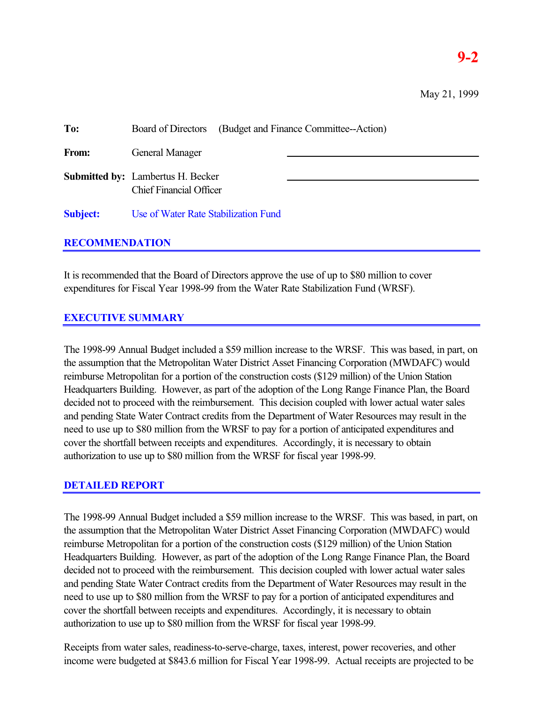# **9-2**

| To:             | (Budget and Finance Committee--Action)<br><b>Board of Directors</b>        |  |  |
|-----------------|----------------------------------------------------------------------------|--|--|
| From:           | <b>General Manager</b>                                                     |  |  |
|                 | <b>Submitted by:</b> Lambertus H. Becker<br><b>Chief Financial Officer</b> |  |  |
| <b>Subject:</b> | Use of Water Rate Stabilization Fund                                       |  |  |

#### **RECOMMENDATION**

It is recommended that the Board of Directors approve the use of up to \$80 million to cover expenditures for Fiscal Year 1998-99 from the Water Rate Stabilization Fund (WRSF).

### **EXECUTIVE SUMMARY**

The 1998-99 Annual Budget included a \$59 million increase to the WRSF. This was based, in part, on the assumption that the Metropolitan Water District Asset Financing Corporation (MWDAFC) would reimburse Metropolitan for a portion of the construction costs (\$129 million) of the Union Station Headquarters Building. However, as part of the adoption of the Long Range Finance Plan, the Board decided not to proceed with the reimbursement. This decision coupled with lower actual water sales and pending State Water Contract credits from the Department of Water Resources may result in the need to use up to \$80 million from the WRSF to pay for a portion of anticipated expenditures and cover the shortfall between receipts and expenditures. Accordingly, it is necessary to obtain authorization to use up to \$80 million from the WRSF for fiscal year 1998-99.

#### **DETAILED REPORT**

The 1998-99 Annual Budget included a \$59 million increase to the WRSF. This was based, in part, on the assumption that the Metropolitan Water District Asset Financing Corporation (MWDAFC) would reimburse Metropolitan for a portion of the construction costs (\$129 million) of the Union Station Headquarters Building. However, as part of the adoption of the Long Range Finance Plan, the Board decided not to proceed with the reimbursement. This decision coupled with lower actual water sales and pending State Water Contract credits from the Department of Water Resources may result in the need to use up to \$80 million from the WRSF to pay for a portion of anticipated expenditures and cover the shortfall between receipts and expenditures. Accordingly, it is necessary to obtain authorization to use up to \$80 million from the WRSF for fiscal year 1998-99.

Receipts from water sales, readiness-to-serve-charge, taxes, interest, power recoveries, and other income were budgeted at \$843.6 million for Fiscal Year 1998-99. Actual receipts are projected to be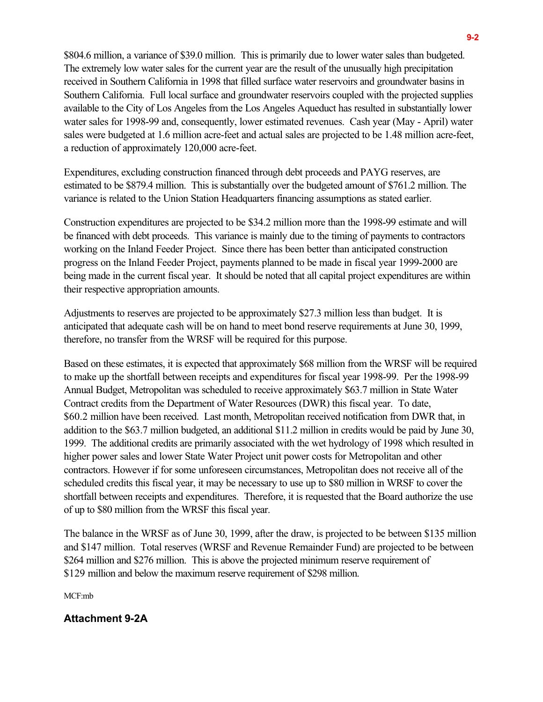\$804.6 million, a variance of \$39.0 million. This is primarily due to lower water sales than budgeted. The extremely low water sales for the current year are the result of the unusually high precipitation received in Southern California in 1998 that filled surface water reservoirs and groundwater basins in Southern California. Full local surface and groundwater reservoirs coupled with the projected supplies available to the City of Los Angeles from the Los Angeles Aqueduct has resulted in substantially lower water sales for 1998-99 and, consequently, lower estimated revenues. Cash year (May - April) water sales were budgeted at 1.6 million acre-feet and actual sales are projected to be 1.48 million acre-feet, a reduction of approximately 120,000 acre-feet.

Expenditures, excluding construction financed through debt proceeds and PAYG reserves, are estimated to be \$879.4 million. This is substantially over the budgeted amount of \$761.2 million. The variance is related to the Union Station Headquarters financing assumptions as stated earlier.

Construction expenditures are projected to be \$34.2 million more than the 1998-99 estimate and will be financed with debt proceeds. This variance is mainly due to the timing of payments to contractors working on the Inland Feeder Project. Since there has been better than anticipated construction progress on the Inland Feeder Project, payments planned to be made in fiscal year 1999-2000 are being made in the current fiscal year. It should be noted that all capital project expenditures are within their respective appropriation amounts.

Adjustments to reserves are projected to be approximately \$27.3 million less than budget. It is anticipated that adequate cash will be on hand to meet bond reserve requirements at June 30, 1999, therefore, no transfer from the WRSF will be required for this purpose.

Based on these estimates, it is expected that approximately \$68 million from the WRSF will be required to make up the shortfall between receipts and expenditures for fiscal year 1998-99. Per the 1998-99 Annual Budget, Metropolitan was scheduled to receive approximately \$63.7 million in State Water Contract credits from the Department of Water Resources (DWR) this fiscal year. To date, \$60.2 million have been received. Last month, Metropolitan received notification from DWR that, in addition to the \$63.7 million budgeted, an additional \$11.2 million in credits would be paid by June 30, 1999. The additional credits are primarily associated with the wet hydrology of 1998 which resulted in higher power sales and lower State Water Project unit power costs for Metropolitan and other contractors. However if for some unforeseen circumstances, Metropolitan does not receive all of the scheduled credits this fiscal year, it may be necessary to use up to \$80 million in WRSF to cover the shortfall between receipts and expenditures. Therefore, it is requested that the Board authorize the use of up to \$80 million from the WRSF this fiscal year.

The balance in the WRSF as of June 30, 1999, after the draw, is projected to be between \$135 million and \$147 million. Total reserves (WRSF and Revenue Remainder Fund) are projected to be between \$264 million and \$276 million. This is above the projected minimum reserve requirement of \$129 million and below the maximum reserve requirement of \$298 million.

MCF:mb

#### **Attachment 9-2A**